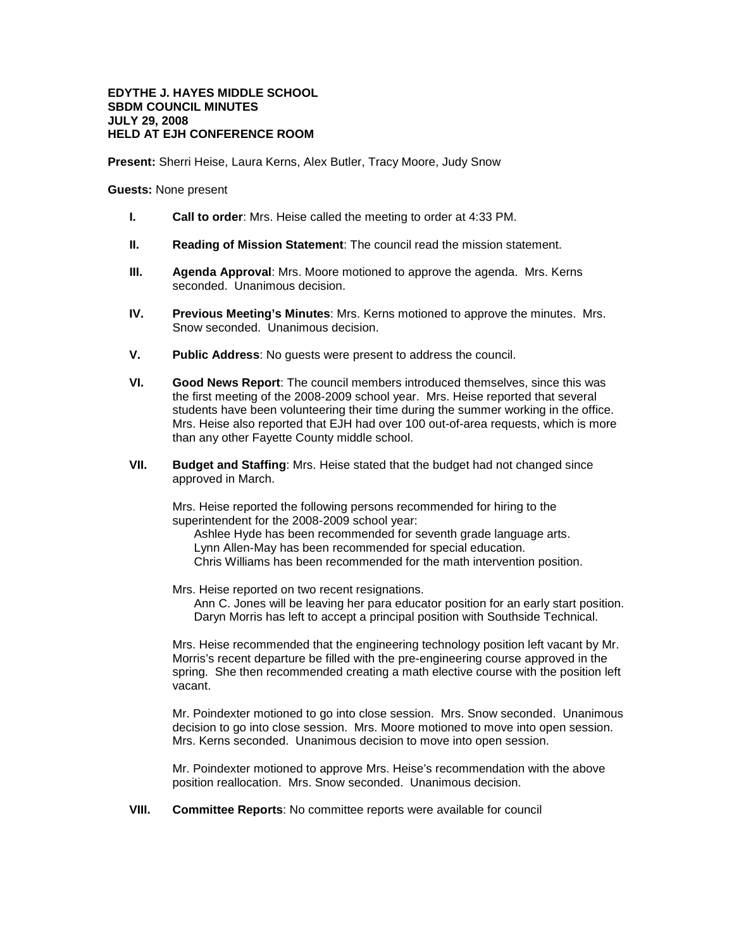## **EDYTHE J. HAYES MIDDLE SCHOOL SBDM COUNCIL MINUTES JULY 29, 2008 HELD AT EJH CONFERENCE ROOM**

**Present:** Sherri Heise, Laura Kerns, Alex Butler, Tracy Moore, Judy Snow

**Guests:** None present

- **I. Call to order**: Mrs. Heise called the meeting to order at 4:33 PM.
- **II. Reading of Mission Statement**: The council read the mission statement.
- **III. Agenda Approval**: Mrs. Moore motioned to approve the agenda. Mrs. Kerns seconded. Unanimous decision.
- **IV. Previous Meeting's Minutes**: Mrs. Kerns motioned to approve the minutes. Mrs. Snow seconded. Unanimous decision.
- **V. Public Address**: No guests were present to address the council.
- **VI. Good News Report**: The council members introduced themselves, since this was the first meeting of the 2008-2009 school year. Mrs. Heise reported that several students have been volunteering their time during the summer working in the office. Mrs. Heise also reported that EJH had over 100 out-of-area requests, which is more than any other Fayette County middle school.
- **VII. Budget and Staffing**: Mrs. Heise stated that the budget had not changed since approved in March.

Mrs. Heise reported the following persons recommended for hiring to the superintendent for the 2008-2009 school year:

Ashlee Hyde has been recommended for seventh grade language arts. Lynn Allen-May has been recommended for special education. Chris Williams has been recommended for the math intervention position.

Mrs. Heise reported on two recent resignations.

Ann C. Jones will be leaving her para educator position for an early start position. Daryn Morris has left to accept a principal position with Southside Technical.

Mrs. Heise recommended that the engineering technology position left vacant by Mr. Morris's recent departure be filled with the pre-engineering course approved in the spring. She then recommended creating a math elective course with the position left vacant.

Mr. Poindexter motioned to go into close session. Mrs. Snow seconded. Unanimous decision to go into close session. Mrs. Moore motioned to move into open session. Mrs. Kerns seconded. Unanimous decision to move into open session.

Mr. Poindexter motioned to approve Mrs. Heise's recommendation with the above position reallocation. Mrs. Snow seconded. Unanimous decision.

**VIII. Committee Reports**: No committee reports were available for council